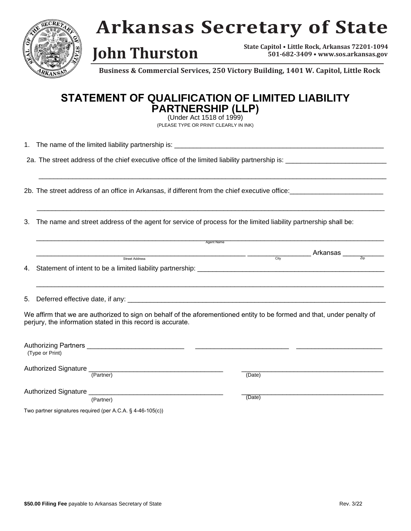

## **Arkansas Secretary of State**

**State Capitol • Little Rock, Arkansas 72201-1094 John Thurston State Capitol • Little Rock, Arkansas** 72201-1094

**Business & Commercial Services, 250 Victory Building, 1401 W. Capitol, Little Rock**

### **STATEMENT OF QUALIFICATION OF LIMITED LIABILITY PARTNERSHIP (LLP)**

(Under Act 1518 of 1999) (PLEASE TYPE OR PRINT CLEARLY IN INK)

 $\Box$ 

\_\_\_\_\_\_\_\_\_\_\_\_\_\_\_\_\_\_\_\_\_\_\_\_\_\_\_\_\_\_\_\_\_\_\_\_\_\_\_\_\_\_\_\_\_\_\_\_\_\_\_\_\_\_\_\_\_\_\_\_\_\_\_\_\_\_\_\_\_\_\_\_\_\_\_\_\_\_\_\_\_\_\_\_\_\_\_\_\_\_\_\_\_

1. The name of the limited liability partnership is:

2a. The street address of the chief executive office of the limited liability partnership is: \_\_\_\_\_\_\_\_\_\_\_\_\_\_\_\_

2b. The street address of an office in Arkansas, if different from the chief executive office:

3. The name and street address of the agent for service of process for the limited liability partnership shall be:

| <b>Agent Name</b>                                                                                                                                                                      |        |          |                   |  |
|----------------------------------------------------------------------------------------------------------------------------------------------------------------------------------------|--------|----------|-------------------|--|
|                                                                                                                                                                                        |        | Arkansas |                   |  |
| <b>Street Address</b>                                                                                                                                                                  | City   |          | $\overline{Z}$ in |  |
| 4. Statement of intent to be a limited liability partnership: ________                                                                                                                 |        |          |                   |  |
|                                                                                                                                                                                        |        |          |                   |  |
|                                                                                                                                                                                        |        |          |                   |  |
| We affirm that we are authorized to sign on behalf of the aforementioned entity to be formed and that, under penalty of<br>perjury, the information stated in this record is accurate. |        |          |                   |  |
| (Type or Print)                                                                                                                                                                        |        |          |                   |  |
| <b>Authorized Signature</b>                                                                                                                                                            |        |          |                   |  |
| (Partner)                                                                                                                                                                              | (Date) |          |                   |  |

Authorized Signature

(Partner)

(Date)

Two partner signatures required (per A.C.A. § 4-46-105(c))